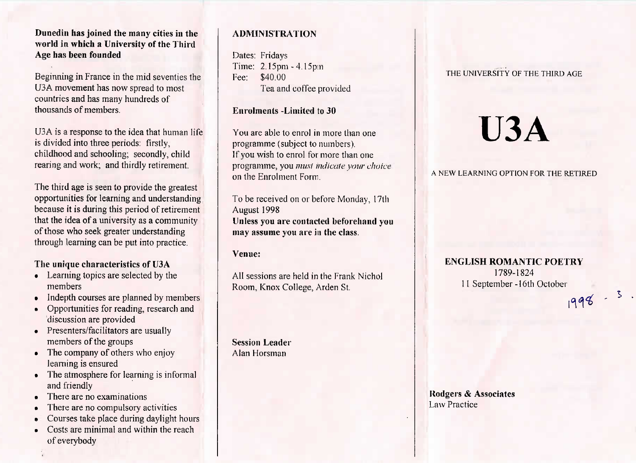## **Dunediu has joined the many cities in the world in which a University of the ThirdAge has been founded**

Beginning in France in the mid seventies theU3A movement has now spread to mostcountries and has many hundreds ofthousands of members.

U3A is a response to the idea that human lifeis divided into three periods: firstly, childhood and schooling; secondly, childrearing and work; and thirdly retirement.

The third age is seen to provide the greatest opportunities for learning and understanding because it is during this period of retirement that the idea of a university as a communityof those who seek greater understandingthrough learning can be put into practice.

## **The unique characteristics of U3A**

- Learning topics are selected by themembers
- Indepth courses are planned by members
- Opportunities for reading, research anddiscussion are provided
- Presenters/facilitators are usually members of the groups
- The company of others who enjoylearning is ensured
- The atmosphere for learning is informaland friendly
- There are no examinations
- There are no compulsory activities
- Courses take place during daylight hours
- Costs are minimal and within the reachof everybody

## **ADMINISTRATION**

Dates: Fridays Time: 2.15pm - 4.15pmFee: \$40.00Tea and coffee provided

## **Enrolments -Limited to 30**

You are able to enrol in more than oneprogramme (subject to numbers). If you wish to enrol for more than one programme, you *must indicate your choice*on the Enrolment Form.

To be received on or before Monday, 17thAugust 1998 **Unless you are contacted beforehand youmay assume you are in the class.**

#### **Venue:**

All sessions are held in the Frank NicholRoom, Knox College, Arden St.

**Session Leader**Alan Horsman

## THE UNIVERSITY OF THE THIRD AGE

# **U3A**

## A NEW LEARNING OPTION FOR THE RETIRED

# **ENGLISH ROMANTIC POETRY**1789-1824 11 September -16th October1998.3.

**Rodgers & Associates**Law Practice